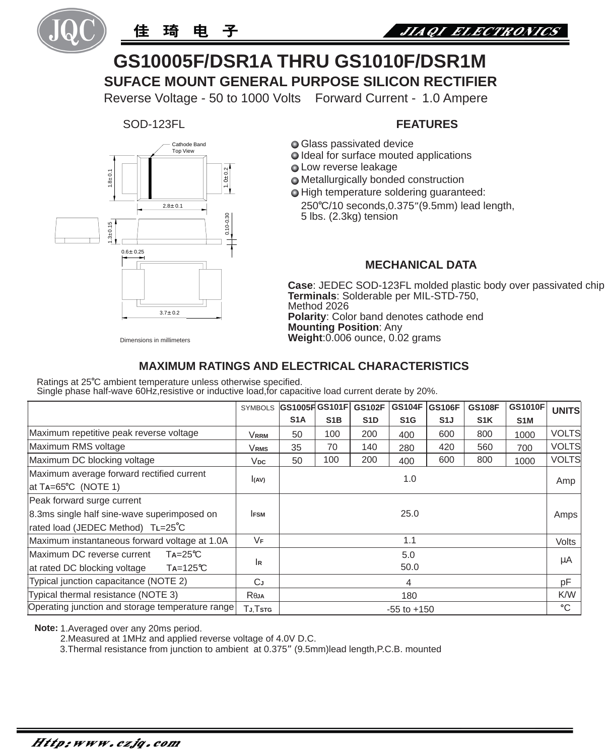



# **SUFACE MOUNT GENERAL PURPOSE SILICON RECTIFIER GS10005F/DSR1A THRU GS1010F/DSR1M**

Reverse Voltage - 50 to 1000 Volts Forward Current - 1.0 Ampere

SOD-123FL



### **FEATURES**

- **Glass passivated device**
- $\bigcirc$  Ideal for surface mouted applications
- **Q** Low reverse leakage
- **○** Metallurgically bonded construction
- $\bigcirc$  High temperature soldering guaranteed:

250 C/10 seconds,0.375"(9.5mm) lead length, 5 lbs. (2.3kg) tension

#### **MECHANICAL DATA**

**Case**: JEDEC SOD-123FL molded plastic body over passivated chip **Terminals**: Solderable per MIL-STD-750, Method 2026 **Polarity**: Color band denotes cathode end **Mounting Position**: Any **Weight**:0.006 ounce, 0.02 grams

Dimensions in millimeters

#### **MAXIMUM RATINGS AND ELECTRICAL CHARACTERISTICS**

Ratings at 25°C ambient temperature unless otherwise specified.

Single phase half-wave 60Hz,resistive or inductive load,for capacitive load current derate by 20%.

|                                                                                             | <b>SYMBOLS</b> |                  |                  | GS1005FGS101F GS102F | <b>GS104F</b>    | GS106F           | <b>GS108F</b>    | GS1010F          | <b>UNITS</b> |
|---------------------------------------------------------------------------------------------|----------------|------------------|------------------|----------------------|------------------|------------------|------------------|------------------|--------------|
|                                                                                             |                | S <sub>1</sub> A | S <sub>1</sub> B | S <sub>1</sub> D     | S <sub>1</sub> G | S <sub>1</sub> J | S <sub>1</sub> K | S <sub>1</sub> M |              |
| Maximum repetitive peak reverse voltage                                                     | Vrrm           | 50               | 100              | 200                  | 400              | 600              | 800              | 1000             | <b>VOLTS</b> |
| Maximum RMS voltage                                                                         | <b>VRMS</b>    | 35               | 70               | 140                  | 280              | 420              | 560              | 700              | <b>VOLTS</b> |
| Maximum DC blocking voltage                                                                 | $V_{DC}$       | 50               | 100              | 200                  | 400              | 600              | 800              | 1000             | <b>VOLTS</b> |
| Maximum average forward rectified current<br>$\text{lat Ta} = 65^{\circ} \text{C}$ (NOTE 1) | I(AV)          |                  |                  |                      | 1.0              |                  |                  |                  | Amp          |
| Peak forward surge current                                                                  |                |                  |                  |                      |                  |                  |                  |                  |              |
| 8.3ms single half sine-wave superimposed on                                                 | <b>IFSM</b>    |                  |                  |                      | 25.0             |                  |                  |                  | Amps         |
| rated load (JEDEC Method) TL=25°C                                                           |                |                  |                  |                      |                  |                  |                  |                  |              |
| Maximum instantaneous forward voltage at 1.0A                                               | VF             | 1.1              |                  |                      |                  |                  |                  |                  | <b>Volts</b> |
| Maximum DC reverse current<br>$Ta = 25^{\circ}C$                                            |                | 5.0<br>50.0      |                  |                      |                  |                  |                  |                  | μA           |
| at rated DC blocking voltage<br>$Ta = 125^{\circ}C$                                         | lR.            |                  |                  |                      |                  |                  |                  |                  |              |
| Typical junction capacitance (NOTE 2)                                                       | CJ             |                  |                  |                      | 4                |                  |                  |                  | рF           |
| Typical thermal resistance (NOTE 3)                                                         | Reja           |                  |                  |                      | 180              |                  |                  |                  | <b>K/W</b>   |
| Operating junction and storage temperature range                                            | TJ.Tstg        | $-55$ to $+150$  |                  |                      |                  |                  |                  |                  | $^{\circ}$ C |

**Note:** 1.Averaged over any 20ms period.

2.Measured at 1MHz and applied reverse voltage of 4.0V D.C.

3.Thermal resistance from junction to ambient at 0.375" (9.5mm)lead length,P.C.B. mounted